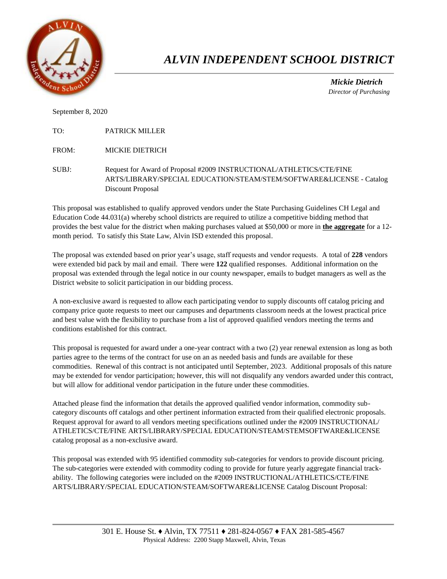

## *ALVIN INDEPENDENT SCHOOL DISTRICT*

 *Mickie Dietrich Director of Purchasing*

September 8, 2020

| TO: | <b>PATRICK MILLER</b> |
|-----|-----------------------|

FROM: MICKIE DIETRICH

SUBJ: Request for Award of Proposal #2009 INSTRUCTIONAL/ATHLETICS/CTE/FINE ARTS/LIBRARY/SPECIAL EDUCATION/STEAM/STEM/SOFTWARE&LICENSE - Catalog Discount Proposal

This proposal was established to qualify approved vendors under the State Purchasing Guidelines CH Legal and Education Code 44.031(a) whereby school districts are required to utilize a competitive bidding method that provides the best value for the district when making purchases valued at \$50,000 or more in **the aggregate** for a 12 month period. To satisfy this State Law, Alvin ISD extended this proposal.

The proposal was extended based on prior year's usage, staff requests and vendor requests. A total of **228** vendors were extended bid pack by mail and email. There were **122** qualified responses. Additional information on the proposal was extended through the legal notice in our county newspaper, emails to budget managers as well as the District website to solicit participation in our bidding process.

A non-exclusive award is requested to allow each participating vendor to supply discounts off catalog pricing and company price quote requests to meet our campuses and departments classroom needs at the lowest practical price and best value with the flexibility to purchase from a list of approved qualified vendors meeting the terms and conditions established for this contract.

This proposal is requested for award under a one-year contract with a two (2) year renewal extension as long as both parties agree to the terms of the contract for use on an as needed basis and funds are available for these commodities. Renewal of this contract is not anticipated until September, 2023. Additional proposals of this nature may be extended for vendor participation; however, this will not disqualify any vendors awarded under this contract, but will allow for additional vendor participation in the future under these commodities.

Attached please find the information that details the approved qualified vendor information, commodity subcategory discounts off catalogs and other pertinent information extracted from their qualified electronic proposals. Request approval for award to all vendors meeting specifications outlined under the #2009 INSTRUCTIONAL/ ATHLETICS/CTE/FINE ARTS/LIBRARY/SPECIAL EDUCATION/STEAM/STEMSOFTWARE&LICENSE catalog proposal as a non-exclusive award.

This proposal was extended with 95 identified commodity sub-categories for vendors to provide discount pricing. The sub-categories were extended with commodity coding to provide for future yearly aggregate financial trackability. The following categories were included on the #2009 INSTRUCTIONAL/ATHLETICS/CTE/FINE ARTS/LIBRARY/SPECIAL EDUCATION/STEAM/SOFTWARE&LICENSE Catalog Discount Proposal: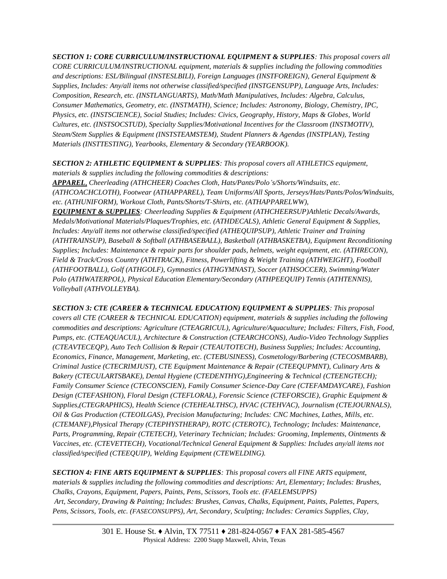*SECTION 1: CORE CURRICULUM/INSTRUCTIONAL EQUIPMENT & SUPPLIES: This proposal covers all CORE CURRICULUM/INSTRUCTIONAL equipment, materials & supplies including the following commodities and descriptions: ESL/Bilingual (INSTESLBILI), Foreign Languages (INSTFOREIGN), General Equipment & Supplies, Includes: Any/all items not otherwise classified/specified (INSTGENSUPP), Language Arts, Includes: Composition, Research, etc. (INSTLANGUARTS), Math/Math Manipulatives, Includes: Algebra, Calculus, Consumer Mathematics, Geometry, etc. (INSTMATH), Science; Includes: Astronomy, Biology, Chemistry, IPC, Physics, etc. (INSTSCIENCE), Social Studies; Includes: Civics, Geography, History, Maps & Globes, World Cultures, etc. (INSTSOCSTUD), Specialty Supplies/Motivational Incentives for the Classroom (INSTMOTIV), Steam/Stem Supplies & Equipment (INSTSTEAMSTEM), Student Planners & Agendas (INSTPLAN), Testing Materials (INSTTESTING), Yearbooks, Elementary & Secondary (YEARBOOK).* 

*SECTION 2: ATHLETIC EQUIPMENT & SUPPLIES: This proposal covers all ATHLETICS equipment,* 

*materials & supplies including the following commodities & descriptions: APPAREL, Cheerleading (ATHCHEER) Coaches Cloth, Hats/Pants/Polo's/Shorts/Windsuits, etc. (ATHCOACHCLOTH), Footwear (ATHAPPAREL), Team Uniforms/All Sports, Jerseys/Hats/Pants/Polos/Windsuits, etc. (ATHUNIFORM), Workout Cloth, Pants/Shorts/T-Shirts, etc. (ATHAPPARELWW), EQUIPMENT & SUPPLIES: Cheerleading Supplies & Equipment (ATHCHEERSUP)Athletic Decals/Awards,* 

*Medals/Motivational Materials/Plaques/Trophies, etc. (ATHDECALS), Athletic General Equipment & Supplies, Includes: Any/all items not otherwise classified/specified (ATHEQUIPSUP), Athletic Trainer and Training (ATHTRAINSUP), Baseball & Softball (ATHBASEBALL), Basketball (ATHBASKETBA), Equipment Reconditioning Supplies; Includes: Maintenance & repair parts for shoulder pads, helmets, weight equipment, etc. (ATHRECON), Field & Track/Cross Country (ATHTRACK), Fitness, Powerlifting & Weight Training (ATHWEIGHT), Football (ATHFOOTBALL), Golf (ATHGOLF), Gymnastics (ATHGYMNAST), Soccer (ATHSOCCER), Swimming/Water Polo (ATHWATERPOL), Physical Education Elementary/Secondary (ATHPEEQUIP) Tennis (ATHTENNIS), Volleyball (ATHVOLLEYBA).* 

*SECTION 3: CTE (CAREER & TECHNICAL EDUCATION) EQUIPMENT & SUPPLIES: This proposal covers all CTE (CAREER & TECHNICAL EDUCATION) equipment, materials & supplies including the following commodities and descriptions: Agriculture (CTEAGRICUL), Agriculture/Aquaculture; Includes: Filters, Fish, Food, Pumps, etc. (CTEAQUACUL), Architecture & Construction (CTEARCHCONS), Audio-Video Technology Supplies (CTEAVTECEQP), Auto Tech Collision & Repair (CTEAUTOTECH), Business Supplies; Includes: Accounting, Economics, Finance, Management, Marketing, etc. (CTEBUSINESS), Cosmetology/Barbering (CTECOSMBARB), Criminal Justice (CTECRIMJUST), CTE Equipment Maintenance & Repair (CTEEQUPMNT), Culinary Arts & Bakery (CTECULARTSBAKE), Dental Hygiene (CTEDENTHYG),Engineering & Technical (CTEENGTECH); Family Consumer Science (CTECONSCIEN), Family Consumer Science-Day Care (CTEFAMDAYCARE), Fashion Design (CTEFASHION), Floral Design (CTEFLORAL), Forensic Science (CTEFORSCIE), Graphic Equipment & Supplies,(CTEGRAPHICS), Health Science (CTEHEALTHSC), HVAC (CTEHVAC), Journalism (CTEJOURNALS), Oil & Gas Production (CTEOILGAS), Precision Manufacturing; Includes: CNC Machines, Lathes, Mills, etc. (CTEMANF),Physical Therapy (CTEPHYSTHERAP), ROTC (CTEROTC), Technology; Includes: Maintenance, Parts, Programming, Repair (CTETECH), Veterinary Technician; Includes: Grooming, Implements, Ointments & Vaccines, etc. (CTEVETTECH), Vocational/Technical General Equipment & Supplies: Includes any/all items not classified/specified (CTEEQUIP), Welding Equipment (CTEWELDING).* 

*SECTION 4: FINE ARTS EQUIPMENT & SUPPLIES: This proposal covers all FINE ARTS equipment, materials & supplies including the following commodities and descriptions: Art, Elementary; Includes: Brushes, Chalks, Crayons, Equipment, Papers, Paints, Pens, Scissors, Tools etc. (FAELEMSUPPS) Art, Secondary, Drawing & Painting; Includes: Brushes, Canvas, Chalks, Equipment, Paints, Palettes, Papers, Pens, Scissors, Tools, etc. (FASECONSUPPS), Art, Secondary, Sculpting; Includes: Ceramics Supplies, Clay,*